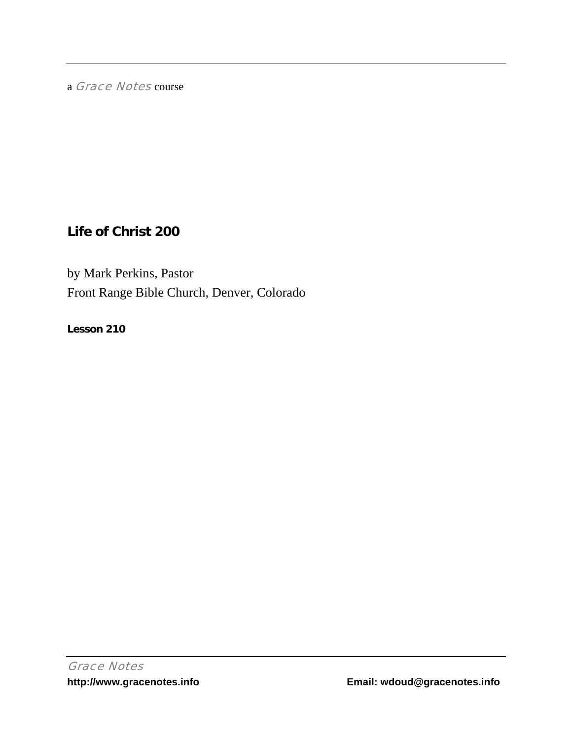a Grace Notes course

# **Life of Christ 200**

by Mark Perkins, Pastor Front Range Bible Church, Denver, Colorado

**Lesson 210**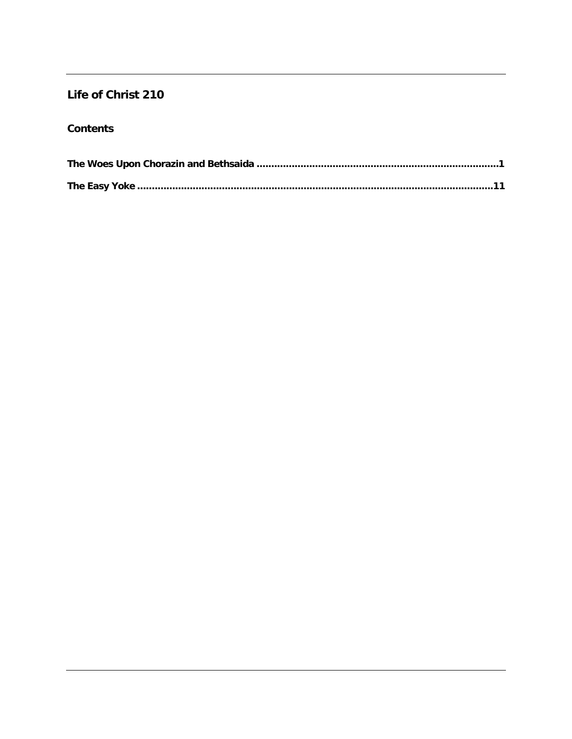## Life of Christ 210

### **Contents**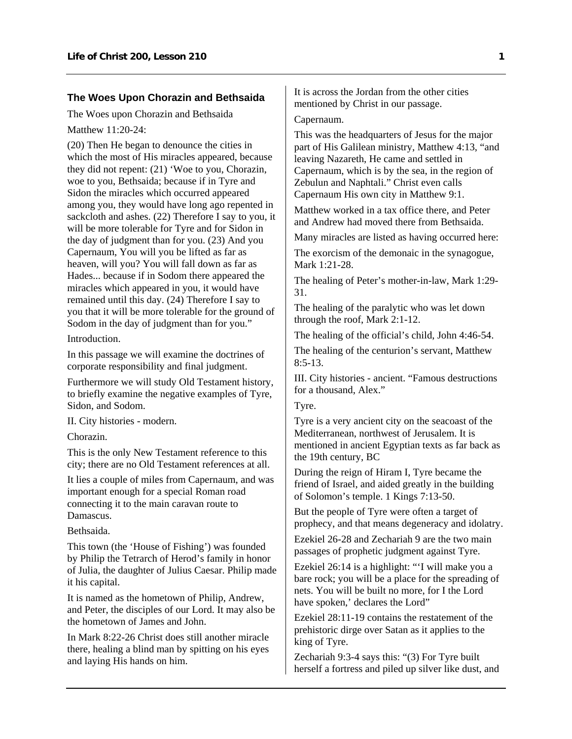#### <span id="page-2-0"></span>**The Woes Upon Chorazin and Bethsaida**

The Woes upon Chorazin and Bethsaida

Matthew 11:20-24:

(20) Then He began to denounce the cities in which the most of His miracles appeared, because they did not repent: (21) 'Woe to you, Chorazin, woe to you, Bethsaida; because if in Tyre and Sidon the miracles which occurred appeared among you, they would have long ago repented in sackcloth and ashes. (22) Therefore I say to you, it will be more tolerable for Tyre and for Sidon in the day of judgment than for you. (23) And you Capernaum, You will you be lifted as far as heaven, will you? You will fall down as far as Hades... because if in Sodom there appeared the miracles which appeared in you, it would have remained until this day. (24) Therefore I say to you that it will be more tolerable for the ground of Sodom in the day of judgment than for you."

Introduction.

In this passage we will examine the doctrines of corporate responsibility and final judgment.

Furthermore we will study Old Testament history, to briefly examine the negative examples of Tyre, Sidon, and Sodom.

II. City histories - modern.

Chorazin.

This is the only New Testament reference to this city; there are no Old Testament references at all.

It lies a couple of miles from Capernaum, and was important enough for a special Roman road connecting it to the main caravan route to Damascus.

Bethsaida.

This town (the 'House of Fishing') was founded by Philip the Tetrarch of Herod's family in honor of Julia, the daughter of Julius Caesar. Philip made it his capital.

It is named as the hometown of Philip, Andrew, and Peter, the disciples of our Lord. It may also be the hometown of James and John.

In Mark 8:22-26 Christ does still another miracle there, healing a blind man by spitting on his eyes and laying His hands on him.

It is across the Jordan from the other cities mentioned by Christ in our passage.

#### Capernaum.

This was the headquarters of Jesus for the major part of His Galilean ministry, Matthew 4:13, "and leaving Nazareth, He came and settled in Capernaum, which is by the sea, in the region of Zebulun and Naphtali." Christ even calls Capernaum His own city in Matthew 9:1.

Matthew worked in a tax office there, and Peter and Andrew had moved there from Bethsaida.

Many miracles are listed as having occurred here:

The exorcism of the demonaic in the synagogue, Mark 1:21-28.

The healing of Peter's mother-in-law, Mark 1:29- 31.

The healing of the paralytic who was let down through the roof, Mark 2:1-12.

The healing of the official's child, John 4:46-54.

The healing of the centurion's servant, Matthew 8:5-13.

III. City histories - ancient. "Famous destructions for a thousand, Alex."

#### Tyre.

Tyre is a very ancient city on the seacoast of the Mediterranean, northwest of Jerusalem. It is mentioned in ancient Egyptian texts as far back as the 19th century, BC

During the reign of Hiram I, Tyre became the friend of Israel, and aided greatly in the building of Solomon's temple. 1 Kings 7:13-50.

But the people of Tyre were often a target of prophecy, and that means degeneracy and idolatry.

Ezekiel 26-28 and Zechariah 9 are the two main passages of prophetic judgment against Tyre.

Ezekiel 26:14 is a highlight: "'I will make you a bare rock; you will be a place for the spreading of nets. You will be built no more, for I the Lord have spoken,' declares the Lord"

Ezekiel 28:11-19 contains the restatement of the prehistoric dirge over Satan as it applies to the king of Tyre.

Zechariah 9:3-4 says this: "(3) For Tyre built herself a fortress and piled up silver like dust, and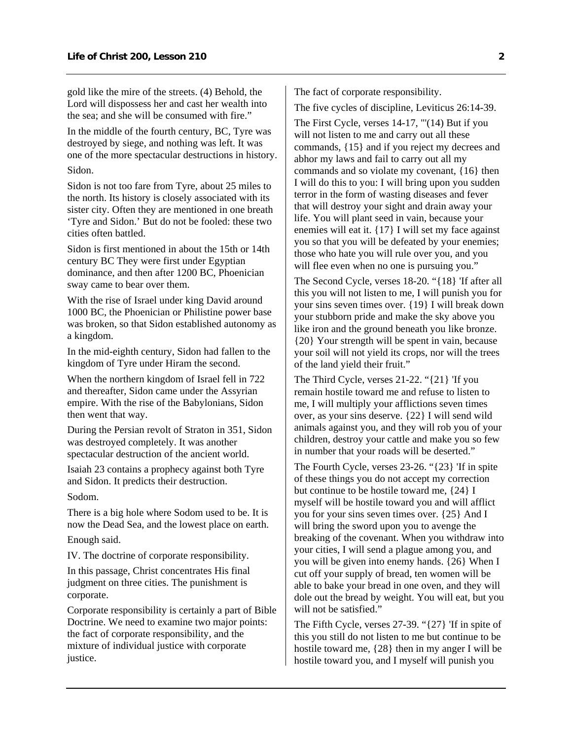gold like the mire of the streets. (4) Behold, the Lord will dispossess her and cast her wealth into the sea; and she will be consumed with fire."

In the middle of the fourth century, BC, Tyre was destroyed by siege, and nothing was left. It was one of the more spectacular destructions in history. Sidon.

Sidon is not too fare from Tyre, about 25 miles to the north. Its history is closely associated with its sister city. Often they are mentioned in one breath 'Tyre and Sidon.' But do not be fooled: these two cities often battled.

Sidon is first mentioned in about the 15th or 14th century BC They were first under Egyptian dominance, and then after 1200 BC, Phoenician sway came to bear over them.

With the rise of Israel under king David around 1000 BC, the Phoenician or Philistine power base was broken, so that Sidon established autonomy as a kingdom.

In the mid-eighth century, Sidon had fallen to the kingdom of Tyre under Hiram the second.

When the northern kingdom of Israel fell in 722 and thereafter, Sidon came under the Assyrian empire. With the rise of the Babylonians, Sidon then went that way.

During the Persian revolt of Straton in 351, Sidon was destroyed completely. It was another spectacular destruction of the ancient world.

Isaiah 23 contains a prophecy against both Tyre and Sidon. It predicts their destruction.

Sodom.

There is a big hole where Sodom used to be. It is now the Dead Sea, and the lowest place on earth. Enough said.

IV. The doctrine of corporate responsibility.

In this passage, Christ concentrates His final judgment on three cities. The punishment is corporate.

Corporate responsibility is certainly a part of Bible Doctrine. We need to examine two major points: the fact of corporate responsibility, and the mixture of individual justice with corporate justice.

The fact of corporate responsibility.

The five cycles of discipline, Leviticus 26:14-39.

The First Cycle, verses 14-17, "'(14) But if you will not listen to me and carry out all these commands, {15} and if you reject my decrees and abhor my laws and fail to carry out all my commands and so violate my covenant, {16} then I will do this to you: I will bring upon you sudden terror in the form of wasting diseases and fever that will destroy your sight and drain away your life. You will plant seed in vain, because your enemies will eat it. {17} I will set my face against you so that you will be defeated by your enemies; those who hate you will rule over you, and you will flee even when no one is pursuing you."

The Second Cycle, verses 18-20. "{18} 'If after all this you will not listen to me, I will punish you for your sins seven times over. {19} I will break down your stubborn pride and make the sky above you like iron and the ground beneath you like bronze. {20} Your strength will be spent in vain, because your soil will not yield its crops, nor will the trees of the land yield their fruit."

The Third Cycle, verses 21-22. "{21} 'If you remain hostile toward me and refuse to listen to me, I will multiply your afflictions seven times over, as your sins deserve. {22} I will send wild animals against you, and they will rob you of your children, destroy your cattle and make you so few in number that your roads will be deserted."

The Fourth Cycle, verses 23-26. "{23} 'If in spite of these things you do not accept my correction but continue to be hostile toward me, {24} I myself will be hostile toward you and will afflict you for your sins seven times over. {25} And I will bring the sword upon you to avenge the breaking of the covenant. When you withdraw into your cities, I will send a plague among you, and you will be given into enemy hands. {26} When I cut off your supply of bread, ten women will be able to bake your bread in one oven, and they will dole out the bread by weight. You will eat, but you will not be satisfied."

The Fifth Cycle, verses 27-39. "{27} 'If in spite of this you still do not listen to me but continue to be hostile toward me, {28} then in my anger I will be hostile toward you, and I myself will punish you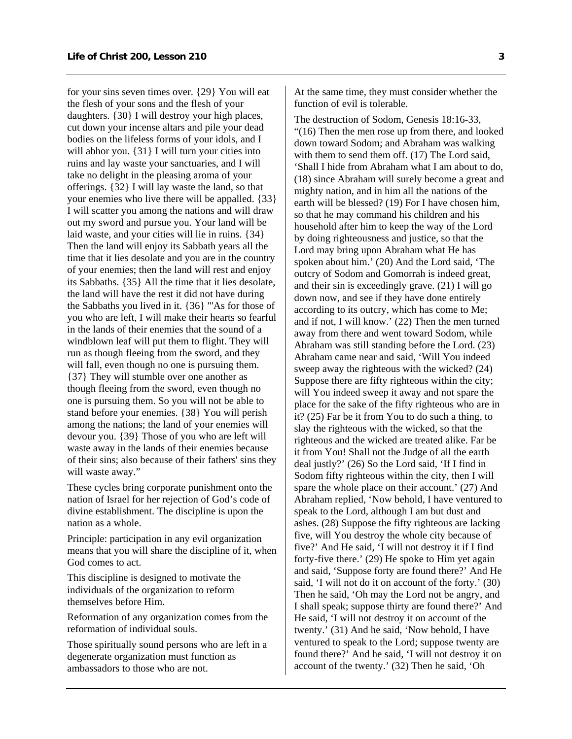for your sins seven times over. {29} You will eat the flesh of your sons and the flesh of your daughters. {30} I will destroy your high places, cut down your incense altars and pile your dead bodies on the lifeless forms of your idols, and I will abhor you.  $\{31\}$  I will turn your cities into ruins and lay waste your sanctuaries, and I will take no delight in the pleasing aroma of your offerings. {32} I will lay waste the land, so that your enemies who live there will be appalled. {33} I will scatter you among the nations and will draw out my sword and pursue you. Your land will be laid waste, and your cities will lie in ruins. {34} Then the land will enjoy its Sabbath years all the time that it lies desolate and you are in the country of your enemies; then the land will rest and enjoy its Sabbaths. {35} All the time that it lies desolate, the land will have the rest it did not have during the Sabbaths you lived in it. {36} "'As for those of you who are left, I will make their hearts so fearful in the lands of their enemies that the sound of a windblown leaf will put them to flight. They will run as though fleeing from the sword, and they will fall, even though no one is pursuing them. {37} They will stumble over one another as though fleeing from the sword, even though no one is pursuing them. So you will not be able to stand before your enemies. {38} You will perish among the nations; the land of your enemies will devour you. {39} Those of you who are left will waste away in the lands of their enemies because of their sins; also because of their fathers' sins they will waste away."

These cycles bring corporate punishment onto the nation of Israel for her rejection of God's code of divine establishment. The discipline is upon the nation as a whole.

Principle: participation in any evil organization means that you will share the discipline of it, when God comes to act.

This discipline is designed to motivate the individuals of the organization to reform themselves before Him.

Reformation of any organization comes from the reformation of individual souls.

Those spiritually sound persons who are left in a degenerate organization must function as ambassadors to those who are not.

At the same time, they must consider whether the function of evil is tolerable.

The destruction of Sodom, Genesis 18:16-33, "(16) Then the men rose up from there, and looked down toward Sodom; and Abraham was walking with them to send them off. (17) The Lord said, 'Shall I hide from Abraham what I am about to do, (18) since Abraham will surely become a great and mighty nation, and in him all the nations of the earth will be blessed? (19) For I have chosen him, so that he may command his children and his household after him to keep the way of the Lord by doing righteousness and justice, so that the Lord may bring upon Abraham what He has spoken about him.' (20) And the Lord said, 'The outcry of Sodom and Gomorrah is indeed great, and their sin is exceedingly grave. (21) I will go down now, and see if they have done entirely according to its outcry, which has come to Me; and if not, I will know.' (22) Then the men turned away from there and went toward Sodom, while Abraham was still standing before the Lord. (23) Abraham came near and said, 'Will You indeed sweep away the righteous with the wicked? (24) Suppose there are fifty righteous within the city; will You indeed sweep it away and not spare the place for the sake of the fifty righteous who are in it? (25) Far be it from You to do such a thing, to slay the righteous with the wicked, so that the righteous and the wicked are treated alike. Far be it from You! Shall not the Judge of all the earth deal justly?' (26) So the Lord said, 'If I find in Sodom fifty righteous within the city, then I will spare the whole place on their account.' (27) And Abraham replied, 'Now behold, I have ventured to speak to the Lord, although I am but dust and ashes. (28) Suppose the fifty righteous are lacking five, will You destroy the whole city because of five?' And He said, 'I will not destroy it if I find forty-five there.' (29) He spoke to Him yet again and said, 'Suppose forty are found there?' And He said, 'I will not do it on account of the forty.' (30) Then he said, 'Oh may the Lord not be angry, and I shall speak; suppose thirty are found there?' And He said, 'I will not destroy it on account of the twenty.' (31) And he said, 'Now behold, I have ventured to speak to the Lord; suppose twenty are found there?' And he said, 'I will not destroy it on account of the twenty.' (32) Then he said, 'Oh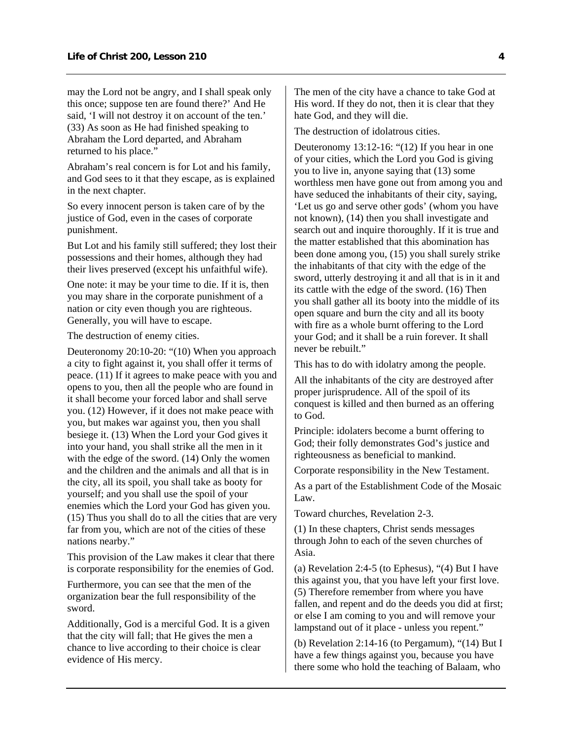may the Lord not be angry, and I shall speak only this once; suppose ten are found there?' And He said, 'I will not destroy it on account of the ten.' (33) As soon as He had finished speaking to Abraham the Lord departed, and Abraham returned to his place."

Abraham's real concern is for Lot and his family, and God sees to it that they escape, as is explained in the next chapter.

So every innocent person is taken care of by the justice of God, even in the cases of corporate punishment.

But Lot and his family still suffered; they lost their possessions and their homes, although they had their lives preserved (except his unfaithful wife).

One note: it may be your time to die. If it is, then you may share in the corporate punishment of a nation or city even though you are righteous. Generally, you will have to escape.

The destruction of enemy cities.

Deuteronomy 20:10-20: "(10) When you approach a city to fight against it, you shall offer it terms of peace. (11) If it agrees to make peace with you and opens to you, then all the people who are found in it shall become your forced labor and shall serve you. (12) However, if it does not make peace with you, but makes war against you, then you shall besiege it. (13) When the Lord your God gives it into your hand, you shall strike all the men in it with the edge of the sword. (14) Only the women and the children and the animals and all that is in the city, all its spoil, you shall take as booty for yourself; and you shall use the spoil of your enemies which the Lord your God has given you. (15) Thus you shall do to all the cities that are very far from you, which are not of the cities of these nations nearby."

This provision of the Law makes it clear that there is corporate responsibility for the enemies of God.

Furthermore, you can see that the men of the organization bear the full responsibility of the sword.

Additionally, God is a merciful God. It is a given that the city will fall; that He gives the men a chance to live according to their choice is clear evidence of His mercy.

The men of the city have a chance to take God at His word. If they do not, then it is clear that they hate God, and they will die.

The destruction of idolatrous cities.

Deuteronomy 13:12-16: "(12) If you hear in one of your cities, which the Lord you God is giving you to live in, anyone saying that (13) some worthless men have gone out from among you and have seduced the inhabitants of their city, saying, 'Let us go and serve other gods' (whom you have not known), (14) then you shall investigate and search out and inquire thoroughly. If it is true and the matter established that this abomination has been done among you, (15) you shall surely strike the inhabitants of that city with the edge of the sword, utterly destroying it and all that is in it and its cattle with the edge of the sword. (16) Then you shall gather all its booty into the middle of its open square and burn the city and all its booty with fire as a whole burnt offering to the Lord your God; and it shall be a ruin forever. It shall never be rebuilt."

This has to do with idolatry among the people.

All the inhabitants of the city are destroyed after proper jurisprudence. All of the spoil of its conquest is killed and then burned as an offering to God.

Principle: idolaters become a burnt offering to God; their folly demonstrates God's justice and righteousness as beneficial to mankind.

Corporate responsibility in the New Testament.

As a part of the Establishment Code of the Mosaic Law.

Toward churches, Revelation 2-3.

(1) In these chapters, Christ sends messages through John to each of the seven churches of Asia.

(a) Revelation 2:4-5 (to Ephesus), "(4) But I have this against you, that you have left your first love. (5) Therefore remember from where you have fallen, and repent and do the deeds you did at first; or else I am coming to you and will remove your lampstand out of it place - unless you repent."

(b) Revelation 2:14-16 (to Pergamum), "(14) But I have a few things against you, because you have there some who hold the teaching of Balaam, who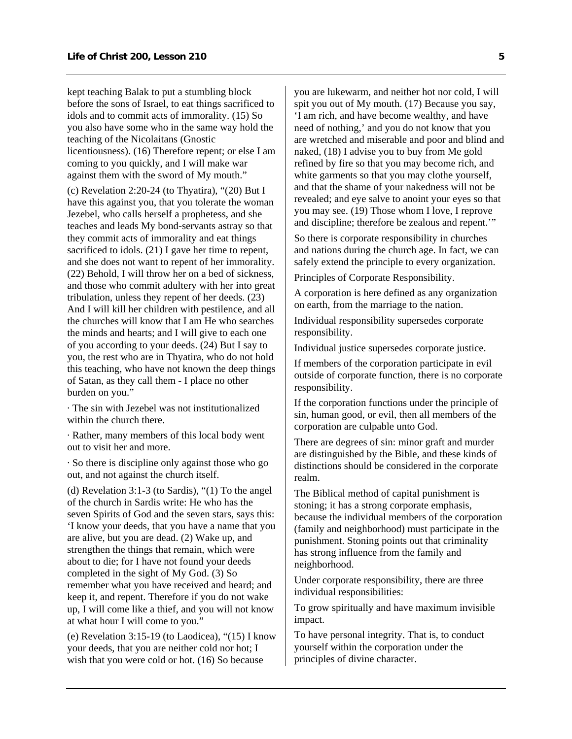kept teaching Balak to put a stumbling block before the sons of Israel, to eat things sacrificed to idols and to commit acts of immorality. (15) So you also have some who in the same way hold the teaching of the Nicolaitans (Gnostic licentiousness). (16) Therefore repent; or else I am coming to you quickly, and I will make war against them with the sword of My mouth."

(c) Revelation 2:20-24 (to Thyatira), "(20) But I have this against you, that you tolerate the woman Jezebel, who calls herself a prophetess, and she teaches and leads My bond-servants astray so that they commit acts of immorality and eat things sacrificed to idols. (21) I gave her time to repent, and she does not want to repent of her immorality. (22) Behold, I will throw her on a bed of sickness, and those who commit adultery with her into great tribulation, unless they repent of her deeds. (23) And I will kill her children with pestilence, and all the churches will know that I am He who searches the minds and hearts; and I will give to each one of you according to your deeds. (24) But I say to you, the rest who are in Thyatira, who do not hold this teaching, who have not known the deep things of Satan, as they call them - I place no other burden on you."

· The sin with Jezebel was not institutionalized within the church there.

· Rather, many members of this local body went out to visit her and more.

· So there is discipline only against those who go out, and not against the church itself.

(d) Revelation 3:1-3 (to Sardis), "(1) To the angel of the church in Sardis write: He who has the seven Spirits of God and the seven stars, says this: 'I know your deeds, that you have a name that you are alive, but you are dead. (2) Wake up, and strengthen the things that remain, which were about to die; for I have not found your deeds completed in the sight of My God. (3) So remember what you have received and heard; and keep it, and repent. Therefore if you do not wake up, I will come like a thief, and you will not know at what hour I will come to you."

(e) Revelation 3:15-19 (to Laodicea), "(15) I know your deeds, that you are neither cold nor hot; I wish that you were cold or hot. (16) So because

you are lukewarm, and neither hot nor cold, I will spit you out of My mouth. (17) Because you say, 'I am rich, and have become wealthy, and have need of nothing,' and you do not know that you are wretched and miserable and poor and blind and naked, (18) I advise you to buy from Me gold refined by fire so that you may become rich, and white garments so that you may clothe yourself, and that the shame of your nakedness will not be revealed; and eye salve to anoint your eyes so that you may see. (19) Those whom I love, I reprove and discipline; therefore be zealous and repent.'"

So there is corporate responsibility in churches and nations during the church age. In fact, we can safely extend the principle to every organization.

Principles of Corporate Responsibility.

A corporation is here defined as any organization on earth, from the marriage to the nation.

Individual responsibility supersedes corporate responsibility.

Individual justice supersedes corporate justice.

If members of the corporation participate in evil outside of corporate function, there is no corporate responsibility.

If the corporation functions under the principle of sin, human good, or evil, then all members of the corporation are culpable unto God.

There are degrees of sin: minor graft and murder are distinguished by the Bible, and these kinds of distinctions should be considered in the corporate realm.

The Biblical method of capital punishment is stoning; it has a strong corporate emphasis, because the individual members of the corporation (family and neighborhood) must participate in the punishment. Stoning points out that criminality has strong influence from the family and neighborhood.

Under corporate responsibility, there are three individual responsibilities:

To grow spiritually and have maximum invisible impact.

To have personal integrity. That is, to conduct yourself within the corporation under the principles of divine character.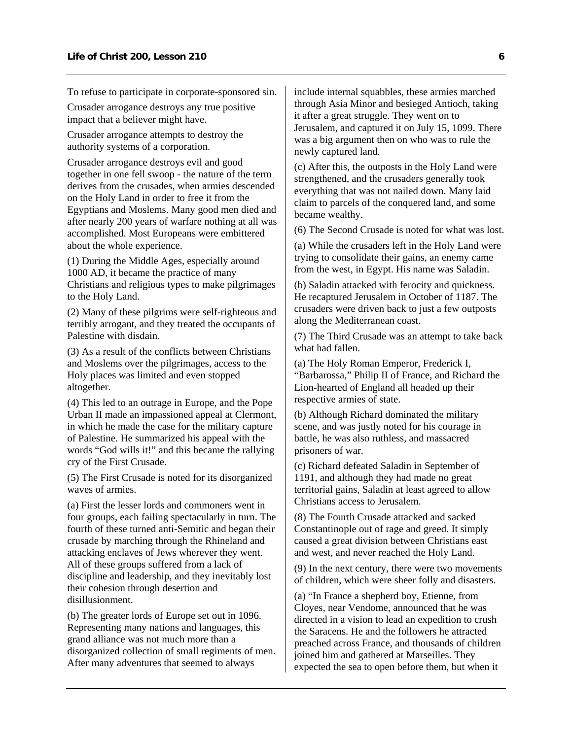To refuse to participate in corporate-sponsored sin.

Crusader arrogance destroys any true positive impact that a believer might have.

Crusader arrogance attempts to destroy the authority systems of a corporation.

Crusader arrogance destroys evil and good together in one fell swoop - the nature of the term derives from the crusades, when armies descended on the Holy Land in order to free it from the Egyptians and Moslems. Many good men died and after nearly 200 years of warfare nothing at all was accomplished. Most Europeans were embittered about the whole experience.

(1) During the Middle Ages, especially around 1000 AD, it became the practice of many Christians and religious types to make pilgrimages to the Holy Land.

(2) Many of these pilgrims were self-righteous and terribly arrogant, and they treated the occupants of Palestine with disdain.

(3) As a result of the conflicts between Christians and Moslems over the pilgrimages, access to the Holy places was limited and even stopped altogether.

(4) This led to an outrage in Europe, and the Pope Urban II made an impassioned appeal at Clermont, in which he made the case for the military capture of Palestine. He summarized his appeal with the words "God wills it!" and this became the rallying cry of the First Crusade.

(5) The First Crusade is noted for its disorganized waves of armies.

(a) First the lesser lords and commoners went in four groups, each failing spectacularly in turn. The fourth of these turned anti-Semitic and began their crusade by marching through the Rhineland and attacking enclaves of Jews wherever they went. All of these groups suffered from a lack of discipline and leadership, and they inevitably lost their cohesion through desertion and disillusionment.

(b) The greater lords of Europe set out in 1096. Representing many nations and languages, this grand alliance was not much more than a disorganized collection of small regiments of men. After many adventures that seemed to always

include internal squabbles, these armies marched through Asia Minor and besieged Antioch, taking it after a great struggle. They went on to Jerusalem, and captured it on July 15, 1099. There was a big argument then on who was to rule the newly captured land.

(c) After this, the outposts in the Holy Land were strengthened, and the crusaders generally took everything that was not nailed down. Many laid claim to parcels of the conquered land, and some became wealthy.

(6) The Second Crusade is noted for what was lost.

(a) While the crusaders left in the Holy Land were trying to consolidate their gains, an enemy came from the west, in Egypt. His name was Saladin.

(b) Saladin attacked with ferocity and quickness. He recaptured Jerusalem in October of 1187. The crusaders were driven back to just a few outposts along the Mediterranean coast.

(7) The Third Crusade was an attempt to take back what had fallen.

(a) The Holy Roman Emperor, Frederick I, "Barbarossa," Philip II of France, and Richard the Lion-hearted of England all headed up their respective armies of state.

(b) Although Richard dominated the military scene, and was justly noted for his courage in battle, he was also ruthless, and massacred prisoners of war.

(c) Richard defeated Saladin in September of 1191, and although they had made no great territorial gains, Saladin at least agreed to allow Christians access to Jerusalem.

(8) The Fourth Crusade attacked and sacked Constantinople out of rage and greed. It simply caused a great division between Christians east and west, and never reached the Holy Land.

(9) In the next century, there were two movements of children, which were sheer folly and disasters.

(a) "In France a shepherd boy, Etienne, from Cloyes, near Vendome, announced that he was directed in a vision to lead an expedition to crush the Saracens. He and the followers he attracted preached across France, and thousands of children joined him and gathered at Marseilles. They expected the sea to open before them, but when it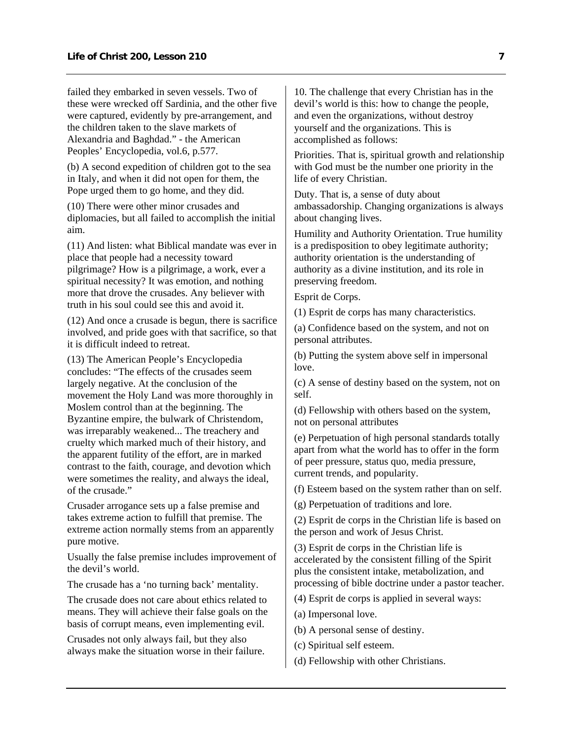failed they embarked in seven vessels. Two of these were wrecked off Sardinia, and the other five were captured, evidently by pre-arrangement, and the children taken to the slave markets of Alexandria and Baghdad." - the American Peoples' Encyclopedia, vol.6, p.577.

(b) A second expedition of children got to the sea in Italy, and when it did not open for them, the Pope urged them to go home, and they did.

(10) There were other minor crusades and diplomacies, but all failed to accomplish the initial aim.

(11) And listen: what Biblical mandate was ever in place that people had a necessity toward pilgrimage? How is a pilgrimage, a work, ever a spiritual necessity? It was emotion, and nothing more that drove the crusades. Any believer with truth in his soul could see this and avoid it.

(12) And once a crusade is begun, there is sacrifice involved, and pride goes with that sacrifice, so that it is difficult indeed to retreat.

(13) The American People's Encyclopedia concludes: "The effects of the crusades seem largely negative. At the conclusion of the movement the Holy Land was more thoroughly in Moslem control than at the beginning. The Byzantine empire, the bulwark of Christendom, was irreparably weakened... The treachery and cruelty which marked much of their history, and the apparent futility of the effort, are in marked contrast to the faith, courage, and devotion which were sometimes the reality, and always the ideal, of the crusade."

Crusader arrogance sets up a false premise and takes extreme action to fulfill that premise. The extreme action normally stems from an apparently pure motive.

Usually the false premise includes improvement of the devil's world.

The crusade has a 'no turning back' mentality.

The crusade does not care about ethics related to means. They will achieve their false goals on the basis of corrupt means, even implementing evil.

Crusades not only always fail, but they also always make the situation worse in their failure.

10. The challenge that every Christian has in the devil's world is this: how to change the people, and even the organizations, without destroy yourself and the organizations. This is accomplished as follows:

Priorities. That is, spiritual growth and relationship with God must be the number one priority in the life of every Christian.

Duty. That is, a sense of duty about ambassadorship. Changing organizations is always about changing lives.

Humility and Authority Orientation. True humility is a predisposition to obey legitimate authority; authority orientation is the understanding of authority as a divine institution, and its role in preserving freedom.

Esprit de Corps.

(1) Esprit de corps has many characteristics.

(a) Confidence based on the system, and not on personal attributes.

(b) Putting the system above self in impersonal love.

(c) A sense of destiny based on the system, not on self.

(d) Fellowship with others based on the system, not on personal attributes

(e) Perpetuation of high personal standards totally apart from what the world has to offer in the form of peer pressure, status quo, media pressure, current trends, and popularity.

(f) Esteem based on the system rather than on self.

(g) Perpetuation of traditions and lore.

(2) Esprit de corps in the Christian life is based on the person and work of Jesus Christ.

(3) Esprit de corps in the Christian life is accelerated by the consistent filling of the Spirit plus the consistent intake, metabolization, and processing of bible doctrine under a pastor teacher.

(4) Esprit de corps is applied in several ways:

(a) Impersonal love.

- (b) A personal sense of destiny.
- (c) Spiritual self esteem.
- (d) Fellowship with other Christians.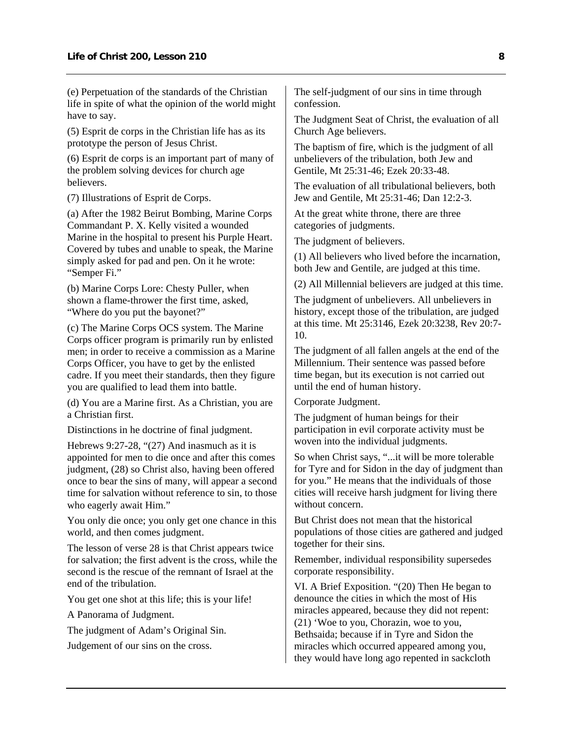(e) Perpetuation of the standards of the Christian life in spite of what the opinion of the world might have to say.

(5) Esprit de corps in the Christian life has as its prototype the person of Jesus Christ.

(6) Esprit de corps is an important part of many of the problem solving devices for church age believers.

(7) Illustrations of Esprit de Corps.

(a) After the 1982 Beirut Bombing, Marine Corps Commandant P. X. Kelly visited a wounded Marine in the hospital to present his Purple Heart. Covered by tubes and unable to speak, the Marine simply asked for pad and pen. On it he wrote: "Semper Fi."

(b) Marine Corps Lore: Chesty Puller, when shown a flame-thrower the first time, asked, "Where do you put the bayonet?"

(c) The Marine Corps OCS system. The Marine Corps officer program is primarily run by enlisted men; in order to receive a commission as a Marine Corps Officer, you have to get by the enlisted cadre. If you meet their standards, then they figure you are qualified to lead them into battle.

(d) You are a Marine first. As a Christian, you are a Christian first.

Distinctions in he doctrine of final judgment.

Hebrews 9:27-28, "(27) And inasmuch as it is appointed for men to die once and after this comes judgment, (28) so Christ also, having been offered once to bear the sins of many, will appear a second time for salvation without reference to sin, to those who eagerly await Him."

You only die once; you only get one chance in this world, and then comes judgment.

The lesson of verse 28 is that Christ appears twice for salvation; the first advent is the cross, while the second is the rescue of the remnant of Israel at the end of the tribulation.

You get one shot at this life; this is your life!

A Panorama of Judgment.

The judgment of Adam's Original Sin.

Judgement of our sins on the cross.

The self-judgment of our sins in time through confession.

The Judgment Seat of Christ, the evaluation of all Church Age believers.

The baptism of fire, which is the judgment of all unbelievers of the tribulation, both Jew and Gentile, Mt 25:31-46; Ezek 20:33-48.

The evaluation of all tribulational believers, both Jew and Gentile, Mt 25:31-46; Dan 12:2-3.

At the great white throne, there are three categories of judgments.

The judgment of believers.

(1) All believers who lived before the incarnation, both Jew and Gentile, are judged at this time.

(2) All Millennial believers are judged at this time.

The judgment of unbelievers. All unbelievers in history, except those of the tribulation, are judged at this time. Mt 25:3146, Ezek 20:3238, Rev 20:7- 10.

The judgment of all fallen angels at the end of the Millennium. Their sentence was passed before time began, but its execution is not carried out until the end of human history.

Corporate Judgment.

The judgment of human beings for their participation in evil corporate activity must be woven into the individual judgments.

So when Christ says, "...it will be more tolerable for Tyre and for Sidon in the day of judgment than for you." He means that the individuals of those cities will receive harsh judgment for living there without concern.

But Christ does not mean that the historical populations of those cities are gathered and judged together for their sins.

Remember, individual responsibility supersedes corporate responsibility.

VI. A Brief Exposition. "(20) Then He began to denounce the cities in which the most of His miracles appeared, because they did not repent: (21) 'Woe to you, Chorazin, woe to you, Bethsaida; because if in Tyre and Sidon the miracles which occurred appeared among you, they would have long ago repented in sackcloth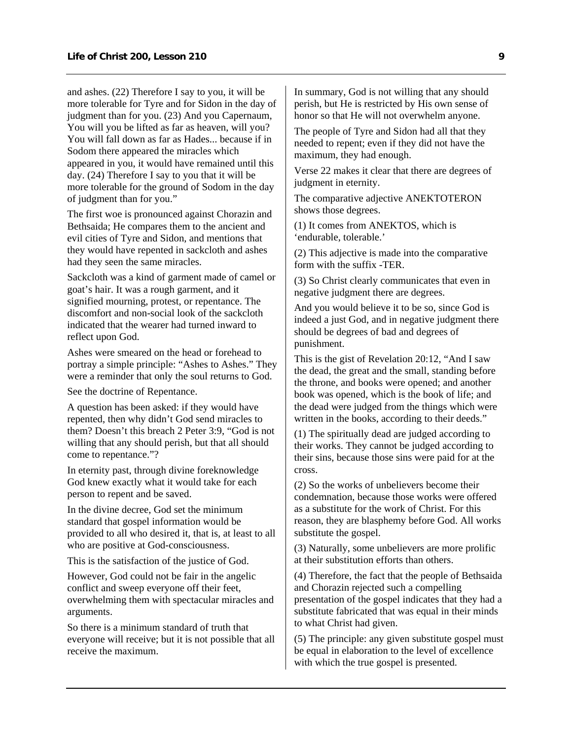and ashes. (22) Therefore I say to you, it will be more tolerable for Tyre and for Sidon in the day of judgment than for you. (23) And you Capernaum, You will you be lifted as far as heaven, will you? You will fall down as far as Hades... because if in Sodom there appeared the miracles which appeared in you, it would have remained until this day. (24) Therefore I say to you that it will be more tolerable for the ground of Sodom in the day of judgment than for you."

The first woe is pronounced against Chorazin and Bethsaida; He compares them to the ancient and evil cities of Tyre and Sidon, and mentions that they would have repented in sackcloth and ashes had they seen the same miracles.

Sackcloth was a kind of garment made of camel or goat's hair. It was a rough garment, and it signified mourning, protest, or repentance. The discomfort and non-social look of the sackcloth indicated that the wearer had turned inward to reflect upon God.

Ashes were smeared on the head or forehead to portray a simple principle: "Ashes to Ashes." They were a reminder that only the soul returns to God.

See the doctrine of Repentance.

A question has been asked: if they would have repented, then why didn't God send miracles to them? Doesn't this breach 2 Peter 3:9, "God is not willing that any should perish, but that all should come to repentance."?

In eternity past, through divine foreknowledge God knew exactly what it would take for each person to repent and be saved.

In the divine decree, God set the minimum standard that gospel information would be provided to all who desired it, that is, at least to all who are positive at God-consciousness.

This is the satisfaction of the justice of God.

However, God could not be fair in the angelic conflict and sweep everyone off their feet, overwhelming them with spectacular miracles and arguments.

So there is a minimum standard of truth that everyone will receive; but it is not possible that all receive the maximum.

In summary, God is not willing that any should perish, but He is restricted by His own sense of honor so that He will not overwhelm anyone.

The people of Tyre and Sidon had all that they needed to repent; even if they did not have the maximum, they had enough.

Verse 22 makes it clear that there are degrees of judgment in eternity.

The comparative adjective ANEKTOTERON shows those degrees.

(1) It comes from ANEKTOS, which is 'endurable, tolerable.'

(2) This adjective is made into the comparative form with the suffix -TER.

(3) So Christ clearly communicates that even in negative judgment there are degrees.

And you would believe it to be so, since God is indeed a just God, and in negative judgment there should be degrees of bad and degrees of punishment.

This is the gist of Revelation 20:12, "And I saw the dead, the great and the small, standing before the throne, and books were opened; and another book was opened, which is the book of life; and the dead were judged from the things which were written in the books, according to their deeds."

(1) The spiritually dead are judged according to their works. They cannot be judged according to their sins, because those sins were paid for at the cross.

(2) So the works of unbelievers become their condemnation, because those works were offered as a substitute for the work of Christ. For this reason, they are blasphemy before God. All works substitute the gospel.

(3) Naturally, some unbelievers are more prolific at their substitution efforts than others.

(4) Therefore, the fact that the people of Bethsaida and Chorazin rejected such a compelling presentation of the gospel indicates that they had a substitute fabricated that was equal in their minds to what Christ had given.

(5) The principle: any given substitute gospel must be equal in elaboration to the level of excellence with which the true gospel is presented.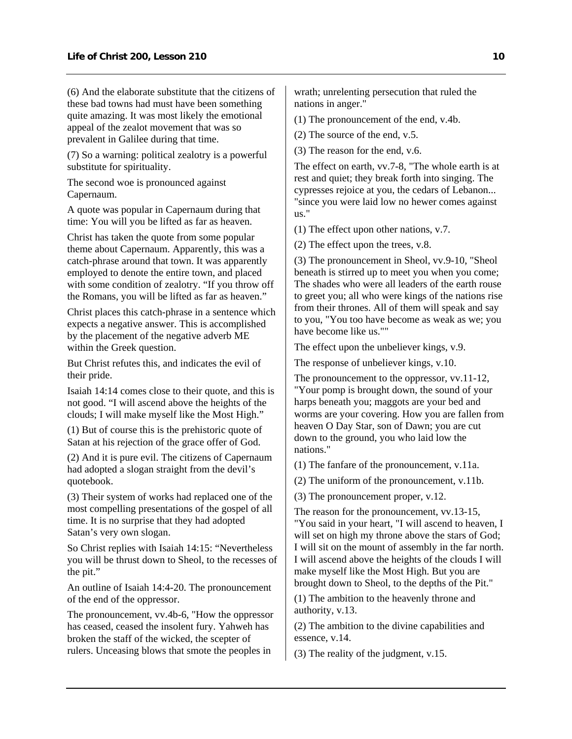(6) And the elaborate substitute that the citizens of these bad towns had must have been something quite amazing. It was most likely the emotional appeal of the zealot movement that was so prevalent in Galilee during that time.

(7) So a warning: political zealotry is a powerful substitute for spirituality.

The second woe is pronounced against Capernaum.

A quote was popular in Capernaum during that time: You will you be lifted as far as heaven.

Christ has taken the quote from some popular theme about Capernaum. Apparently, this was a catch-phrase around that town. It was apparently employed to denote the entire town, and placed with some condition of zealotry. "If you throw off the Romans, you will be lifted as far as heaven."

Christ places this catch-phrase in a sentence which expects a negative answer. This is accomplished by the placement of the negative adverb ME within the Greek question.

But Christ refutes this, and indicates the evil of their pride.

Isaiah 14:14 comes close to their quote, and this is not good. "I will ascend above the heights of the clouds; I will make myself like the Most High."

(1) But of course this is the prehistoric quote of Satan at his rejection of the grace offer of God.

(2) And it is pure evil. The citizens of Capernaum had adopted a slogan straight from the devil's quotebook.

(3) Their system of works had replaced one of the most compelling presentations of the gospel of all time. It is no surprise that they had adopted Satan's very own slogan.

So Christ replies with Isaiah 14:15: "Nevertheless you will be thrust down to Sheol, to the recesses of the pit."

An outline of Isaiah 14:4-20. The pronouncement of the end of the oppressor.

The pronouncement, vv.4b-6, "How the oppressor has ceased, ceased the insolent fury. Yahweh has broken the staff of the wicked, the scepter of rulers. Unceasing blows that smote the peoples in

wrath; unrelenting persecution that ruled the nations in anger."

(1) The pronouncement of the end, v.4b.

(2) The source of the end, v.5.

(3) The reason for the end, v.6.

The effect on earth, vv.7-8, "The whole earth is at rest and quiet; they break forth into singing. The cypresses rejoice at you, the cedars of Lebanon... "since you were laid low no hewer comes against us."

(1) The effect upon other nations, v.7.

(2) The effect upon the trees, v.8.

(3) The pronouncement in Sheol, vv.9-10, "Sheol beneath is stirred up to meet you when you come; The shades who were all leaders of the earth rouse to greet you; all who were kings of the nations rise from their thrones. All of them will speak and say to you, "You too have become as weak as we; you have become like us.""

The effect upon the unbeliever kings, v.9.

The response of unbeliever kings, v.10.

The pronouncement to the oppressor, vv.11-12, "Your pomp is brought down, the sound of your harps beneath you; maggots are your bed and worms are your covering. How you are fallen from heaven O Day Star, son of Dawn; you are cut down to the ground, you who laid low the nations."

(1) The fanfare of the pronouncement, v.11a.

(2) The uniform of the pronouncement, v.11b.

(3) The pronouncement proper, v.12.

The reason for the pronouncement, vv.13-15, "You said in your heart, "I will ascend to heaven, I will set on high my throne above the stars of God; I will sit on the mount of assembly in the far north. I will ascend above the heights of the clouds I will make myself like the Most High. But you are brought down to Sheol, to the depths of the Pit."

(1) The ambition to the heavenly throne and authority, v.13.

(2) The ambition to the divine capabilities and essence, v.14.

(3) The reality of the judgment, v.15.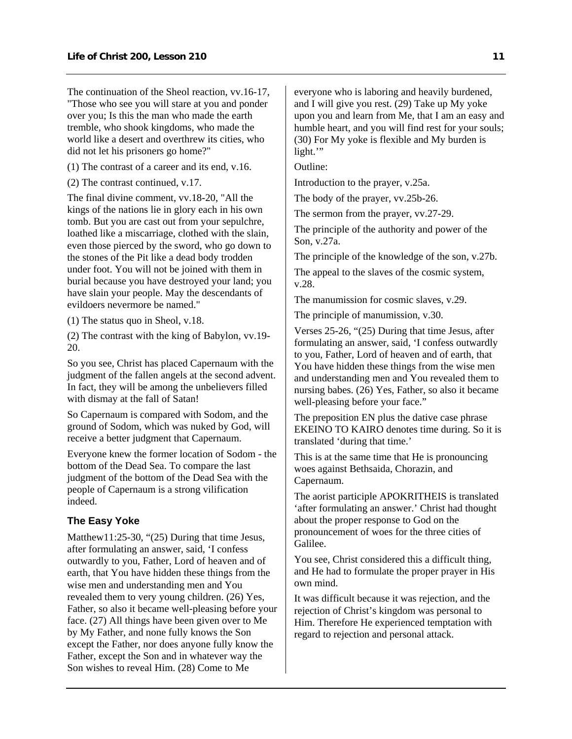<span id="page-12-0"></span>The continuation of the Sheol reaction, vv.16-17, "Those who see you will stare at you and ponder over you; Is this the man who made the earth tremble, who shook kingdoms, who made the world like a desert and overthrew its cities, who did not let his prisoners go home?"

- (1) The contrast of a career and its end, v.16.
- (2) The contrast continued, v.17.

The final divine comment, vv.18-20, "All the kings of the nations lie in glory each in his own tomb. But you are cast out from your sepulchre, loathed like a miscarriage, clothed with the slain, even those pierced by the sword, who go down to the stones of the Pit like a dead body trodden under foot. You will not be joined with them in burial because you have destroyed your land; you have slain your people. May the descendants of evildoers nevermore be named."

(1) The status quo in Sheol, v.18.

(2) The contrast with the king of Babylon, vv.19- 20.

So you see, Christ has placed Capernaum with the judgment of the fallen angels at the second advent. In fact, they will be among the unbelievers filled with dismay at the fall of Satan!

So Capernaum is compared with Sodom, and the ground of Sodom, which was nuked by God, will receive a better judgment that Capernaum.

Everyone knew the former location of Sodom - the bottom of the Dead Sea. To compare the last judgment of the bottom of the Dead Sea with the people of Capernaum is a strong vilification indeed.

#### **The Easy Yoke**

Matthew11:25-30, "(25) During that time Jesus, after formulating an answer, said, 'I confess outwardly to you, Father, Lord of heaven and of earth, that You have hidden these things from the wise men and understanding men and You revealed them to very young children. (26) Yes, Father, so also it became well-pleasing before your face. (27) All things have been given over to Me by My Father, and none fully knows the Son except the Father, nor does anyone fully know the Father, except the Son and in whatever way the Son wishes to reveal Him. (28) Come to Me

everyone who is laboring and heavily burdened, and I will give you rest. (29) Take up My yoke upon you and learn from Me, that I am an easy and humble heart, and you will find rest for your souls; (30) For My yoke is flexible and My burden is light."

Outline:

Introduction to the prayer, v.25a.

The body of the prayer, vv.25b-26.

The sermon from the prayer, vv.27-29.

The principle of the authority and power of the Son, v.27a.

The principle of the knowledge of the son, v.27b.

The appeal to the slaves of the cosmic system, v.28.

The manumission for cosmic slaves, v.29.

The principle of manumission, v.30.

Verses 25-26, "(25) During that time Jesus, after formulating an answer, said, 'I confess outwardly to you, Father, Lord of heaven and of earth, that You have hidden these things from the wise men and understanding men and You revealed them to nursing babes. (26) Yes, Father, so also it became well-pleasing before your face."

The preposition EN plus the dative case phrase EKEINO TO KAIRO denotes time during. So it is translated 'during that time.'

This is at the same time that He is pronouncing woes against Bethsaida, Chorazin, and Capernaum.

The aorist participle APOKRITHEIS is translated 'after formulating an answer.' Christ had thought about the proper response to God on the pronouncement of woes for the three cities of Galilee.

You see, Christ considered this a difficult thing, and He had to formulate the proper prayer in His own mind.

It was difficult because it was rejection, and the rejection of Christ's kingdom was personal to Him. Therefore He experienced temptation with regard to rejection and personal attack.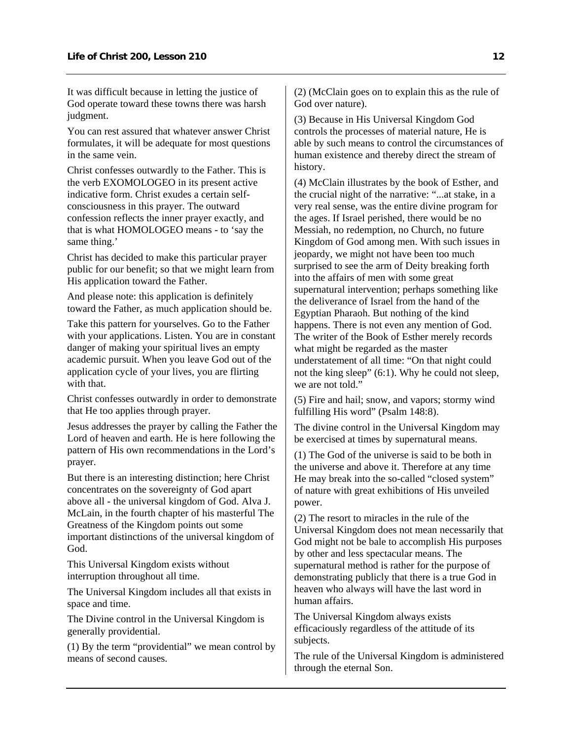It was difficult because in letting the justice of God operate toward these towns there was harsh judgment.

You can rest assured that whatever answer Christ formulates, it will be adequate for most questions in the same vein.

Christ confesses outwardly to the Father. This is the verb EXOMOLOGEO in its present active indicative form. Christ exudes a certain selfconsciousness in this prayer. The outward confession reflects the inner prayer exactly, and that is what HOMOLOGEO means - to 'say the same thing.'

Christ has decided to make this particular prayer public for our benefit; so that we might learn from His application toward the Father.

And please note: this application is definitely toward the Father, as much application should be.

Take this pattern for yourselves. Go to the Father with your applications. Listen. You are in constant danger of making your spiritual lives an empty academic pursuit. When you leave God out of the application cycle of your lives, you are flirting with that.

Christ confesses outwardly in order to demonstrate that He too applies through prayer.

Jesus addresses the prayer by calling the Father the Lord of heaven and earth. He is here following the pattern of His own recommendations in the Lord's prayer.

But there is an interesting distinction; here Christ concentrates on the sovereignty of God apart above all - the universal kingdom of God. Alva J. McLain, in the fourth chapter of his masterful The Greatness of the Kingdom points out some important distinctions of the universal kingdom of God.

This Universal Kingdom exists without interruption throughout all time.

The Universal Kingdom includes all that exists in space and time.

The Divine control in the Universal Kingdom is generally providential.

(1) By the term "providential" we mean control by means of second causes.

(2) (McClain goes on to explain this as the rule of God over nature).

(3) Because in His Universal Kingdom God controls the processes of material nature, He is able by such means to control the circumstances of human existence and thereby direct the stream of history.

(4) McClain illustrates by the book of Esther, and the crucial night of the narrative: "...at stake, in a very real sense, was the entire divine program for the ages. If Israel perished, there would be no Messiah, no redemption, no Church, no future Kingdom of God among men. With such issues in jeopardy, we might not have been too much surprised to see the arm of Deity breaking forth into the affairs of men with some great supernatural intervention; perhaps something like the deliverance of Israel from the hand of the Egyptian Pharaoh. But nothing of the kind happens. There is not even any mention of God. The writer of the Book of Esther merely records what might be regarded as the master understatement of all time: "On that night could not the king sleep" (6:1). Why he could not sleep, we are not told."

(5) Fire and hail; snow, and vapors; stormy wind fulfilling His word" (Psalm 148:8).

The divine control in the Universal Kingdom may be exercised at times by supernatural means.

(1) The God of the universe is said to be both in the universe and above it. Therefore at any time He may break into the so-called "closed system" of nature with great exhibitions of His unveiled power.

(2) The resort to miracles in the rule of the Universal Kingdom does not mean necessarily that God might not be bale to accomplish His purposes by other and less spectacular means. The supernatural method is rather for the purpose of demonstrating publicly that there is a true God in heaven who always will have the last word in human affairs.

The Universal Kingdom always exists efficaciously regardless of the attitude of its subjects.

The rule of the Universal Kingdom is administered through the eternal Son.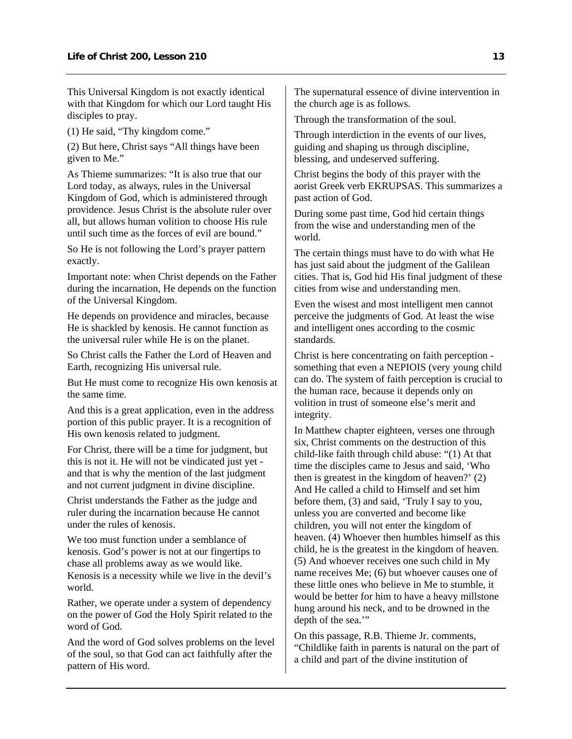This Universal Kingdom is not exactly identical with that Kingdom for which our Lord taught His disciples to pray.

(1) He said, "Thy kingdom come."

(2) But here, Christ says "All things have been given to Me."

As Thieme summarizes: "It is also true that our Lord today, as always, rules in the Universal Kingdom of God, which is administered through providence. Jesus Christ is the absolute ruler over all, but allows human volition to choose His rule until such time as the forces of evil are bound."

So He is not following the Lord's prayer pattern exactly.

Important note: when Christ depends on the Father during the incarnation, He depends on the function of the Universal Kingdom.

He depends on providence and miracles, because He is shackled by kenosis. He cannot function as the universal ruler while He is on the planet.

So Christ calls the Father the Lord of Heaven and Earth, recognizing His universal rule.

But He must come to recognize His own kenosis at the same time.

And this is a great application, even in the address portion of this public prayer. It is a recognition of His own kenosis related to judgment.

For Christ, there will be a time for judgment, but this is not it. He will not be vindicated just yet and that is why the mention of the last judgment and not current judgment in divine discipline.

Christ understands the Father as the judge and ruler during the incarnation because He cannot under the rules of kenosis.

We too must function under a semblance of kenosis. God's power is not at our fingertips to chase all problems away as we would like. Kenosis is a necessity while we live in the devil's world.

Rather, we operate under a system of dependency on the power of God the Holy Spirit related to the word of God.

And the word of God solves problems on the level of the soul, so that God can act faithfully after the pattern of His word.

The supernatural essence of divine intervention in the church age is as follows.

Through the transformation of the soul.

Through interdiction in the events of our lives, guiding and shaping us through discipline, blessing, and undeserved suffering.

Christ begins the body of this prayer with the aorist Greek verb EKRUPSAS. This summarizes a past action of God.

During some past time, God hid certain things from the wise and understanding men of the world.

The certain things must have to do with what He has just said about the judgment of the Galilean cities. That is, God hid His final judgment of these cities from wise and understanding men.

Even the wisest and most intelligent men cannot perceive the judgments of God. At least the wise and intelligent ones according to the cosmic standards.

Christ is here concentrating on faith perception something that even a NEPIOIS (very young child can do. The system of faith perception is crucial to the human race, because it depends only on volition in trust of someone else's merit and integrity.

In Matthew chapter eighteen, verses one through six, Christ comments on the destruction of this child-like faith through child abuse: "(1) At that time the disciples came to Jesus and said, 'Who then is greatest in the kingdom of heaven?' (2) And He called a child to Himself and set him before them, (3) and said, 'Truly I say to you, unless you are converted and become like children, you will not enter the kingdom of heaven. (4) Whoever then humbles himself as this child, he is the greatest in the kingdom of heaven. (5) And whoever receives one such child in My name receives Me; (6) but whoever causes one of these little ones who believe in Me to stumble, it would be better for him to have a heavy millstone hung around his neck, and to be drowned in the depth of the sea."

On this passage, R.B. Thieme Jr. comments, "Childlike faith in parents is natural on the part of a child and part of the divine institution of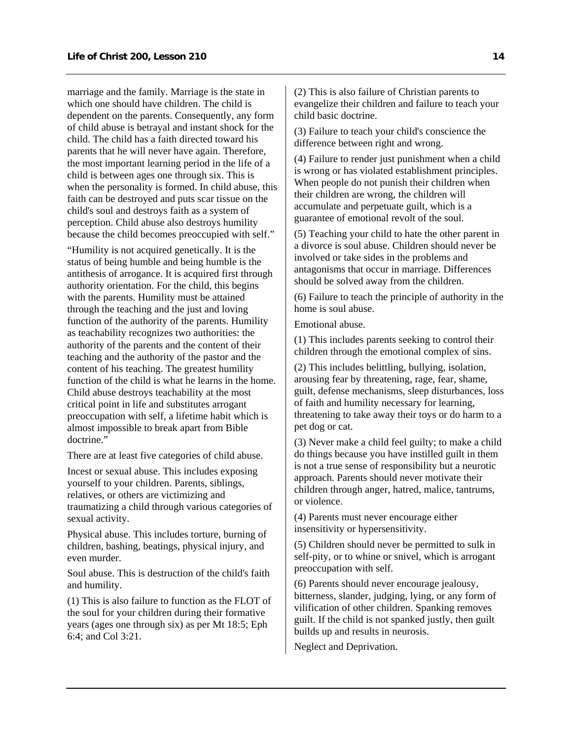marriage and the family. Marriage is the state in which one should have children. The child is dependent on the parents. Consequently, any form of child abuse is betrayal and instant shock for the child. The child has a faith directed toward his parents that he will never have again. Therefore, the most important learning period in the life of a child is between ages one through six. This is when the personality is formed. In child abuse, this faith can be destroyed and puts scar tissue on the child's soul and destroys faith as a system of perception. Child abuse also destroys humility because the child becomes preoccupied with self."

"Humility is not acquired genetically. It is the status of being humble and being humble is the antithesis of arrogance. It is acquired first through authority orientation. For the child, this begins with the parents. Humility must be attained through the teaching and the just and loving function of the authority of the parents. Humility as teachability recognizes two authorities: the authority of the parents and the content of their teaching and the authority of the pastor and the content of his teaching. The greatest humility function of the child is what he learns in the home. Child abuse destroys teachability at the most critical point in life and substitutes arrogant preoccupation with self, a lifetime habit which is almost impossible to break apart from Bible doctrine."

There are at least five categories of child abuse.

Incest or sexual abuse. This includes exposing yourself to your children. Parents, siblings, relatives, or others are victimizing and traumatizing a child through various categories of sexual activity.

Physical abuse. This includes torture, burning of children, bashing, beatings, physical injury, and even murder.

Soul abuse. This is destruction of the child's faith and humility.

(1) This is also failure to function as the FLOT of the soul for your children during their formative years (ages one through six) as per Mt 18:5; Eph 6:4; and Col 3:21.

(2) This is also failure of Christian parents to evangelize their children and failure to teach your child basic doctrine.

(3) Failure to teach your child's conscience the difference between right and wrong.

(4) Failure to render just punishment when a child is wrong or has violated establishment principles. When people do not punish their children when their children are wrong, the children will accumulate and perpetuate guilt, which is a guarantee of emotional revolt of the soul.

(5) Teaching your child to hate the other parent in a divorce is soul abuse. Children should never be involved or take sides in the problems and antagonisms that occur in marriage. Differences should be solved away from the children.

(6) Failure to teach the principle of authority in the home is soul abuse.

Emotional abuse.

(1) This includes parents seeking to control their children through the emotional complex of sins.

(2) This includes belittling, bullying, isolation, arousing fear by threatening, rage, fear, shame, guilt, defense mechanisms, sleep disturbances, loss of faith and humility necessary for learning, threatening to take away their toys or do harm to a pet dog or cat.

(3) Never make a child feel guilty; to make a child do things because you have instilled guilt in them is not a true sense of responsibility but a neurotic approach. Parents should never motivate their children through anger, hatred, malice, tantrums, or violence.

(4) Parents must never encourage either insensitivity or hypersensitivity.

(5) Children should never be permitted to sulk in self-pity, or to whine or snivel, which is arrogant preoccupation with self.

(6) Parents should never encourage jealousy, bitterness, slander, judging, lying, or any form of vilification of other children. Spanking removes guilt. If the child is not spanked justly, then guilt builds up and results in neurosis.

Neglect and Deprivation.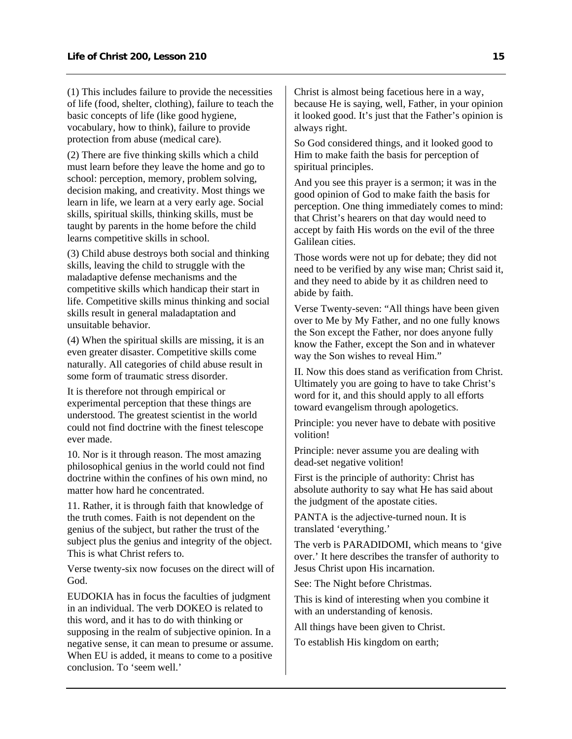(1) This includes failure to provide the necessities of life (food, shelter, clothing), failure to teach the basic concepts of life (like good hygiene, vocabulary, how to think), failure to provide protection from abuse (medical care).

(2) There are five thinking skills which a child must learn before they leave the home and go to school: perception, memory, problem solving, decision making, and creativity. Most things we learn in life, we learn at a very early age. Social skills, spiritual skills, thinking skills, must be taught by parents in the home before the child learns competitive skills in school.

(3) Child abuse destroys both social and thinking skills, leaving the child to struggle with the maladaptive defense mechanisms and the competitive skills which handicap their start in life. Competitive skills minus thinking and social skills result in general maladaptation and unsuitable behavior.

(4) When the spiritual skills are missing, it is an even greater disaster. Competitive skills come naturally. All categories of child abuse result in some form of traumatic stress disorder.

It is therefore not through empirical or experimental perception that these things are understood. The greatest scientist in the world could not find doctrine with the finest telescope ever made.

10. Nor is it through reason. The most amazing philosophical genius in the world could not find doctrine within the confines of his own mind, no matter how hard he concentrated.

11. Rather, it is through faith that knowledge of the truth comes. Faith is not dependent on the genius of the subject, but rather the trust of the subject plus the genius and integrity of the object. This is what Christ refers to.

Verse twenty-six now focuses on the direct will of God.

EUDOKIA has in focus the faculties of judgment in an individual. The verb DOKEO is related to this word, and it has to do with thinking or supposing in the realm of subjective opinion. In a negative sense, it can mean to presume or assume. When EU is added, it means to come to a positive conclusion. To 'seem well.'

Christ is almost being facetious here in a way, because He is saying, well, Father, in your opinion it looked good. It's just that the Father's opinion is always right.

So God considered things, and it looked good to Him to make faith the basis for perception of spiritual principles.

And you see this prayer is a sermon; it was in the good opinion of God to make faith the basis for perception. One thing immediately comes to mind: that Christ's hearers on that day would need to accept by faith His words on the evil of the three Galilean cities.

Those words were not up for debate; they did not need to be verified by any wise man; Christ said it, and they need to abide by it as children need to abide by faith.

Verse Twenty-seven: "All things have been given over to Me by My Father, and no one fully knows the Son except the Father, nor does anyone fully know the Father, except the Son and in whatever way the Son wishes to reveal Him."

II. Now this does stand as verification from Christ. Ultimately you are going to have to take Christ's word for it, and this should apply to all efforts toward evangelism through apologetics.

Principle: you never have to debate with positive volition!

Principle: never assume you are dealing with dead-set negative volition!

First is the principle of authority: Christ has absolute authority to say what He has said about the judgment of the apostate cities.

PANTA is the adjective-turned noun. It is translated 'everything.'

The verb is PARADIDOMI, which means to 'give over.' It here describes the transfer of authority to Jesus Christ upon His incarnation.

See: The Night before Christmas.

This is kind of interesting when you combine it with an understanding of kenosis.

All things have been given to Christ.

To establish His kingdom on earth;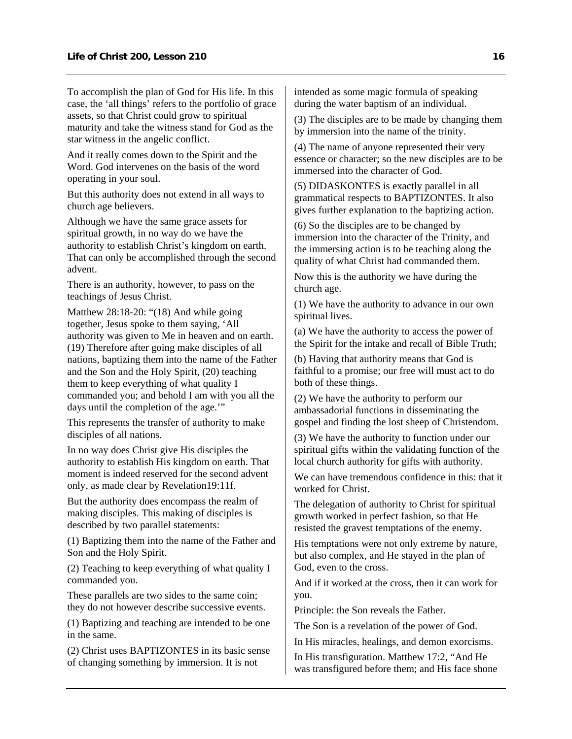To accomplish the plan of God for His life. In this case, the 'all things' refers to the portfolio of grace assets, so that Christ could grow to spiritual maturity and take the witness stand for God as the star witness in the angelic conflict.

And it really comes down to the Spirit and the Word. God intervenes on the basis of the word operating in your soul.

But this authority does not extend in all ways to church age believers.

Although we have the same grace assets for spiritual growth, in no way do we have the authority to establish Christ's kingdom on earth. That can only be accomplished through the second advent.

There is an authority, however, to pass on the teachings of Jesus Christ.

Matthew 28:18-20: "(18) And while going together, Jesus spoke to them saying, 'All authority was given to Me in heaven and on earth. (19) Therefore after going make disciples of all nations, baptizing them into the name of the Father and the Son and the Holy Spirit, (20) teaching them to keep everything of what quality I commanded you; and behold I am with you all the days until the completion of the age."

This represents the transfer of authority to make disciples of all nations.

In no way does Christ give His disciples the authority to establish His kingdom on earth. That moment is indeed reserved for the second advent only, as made clear by Revelation19:11f.

But the authority does encompass the realm of making disciples. This making of disciples is described by two parallel statements:

(1) Baptizing them into the name of the Father and Son and the Holy Spirit.

(2) Teaching to keep everything of what quality I commanded you.

These parallels are two sides to the same coin; they do not however describe successive events.

(1) Baptizing and teaching are intended to be one in the same.

(2) Christ uses BAPTIZONTES in its basic sense of changing something by immersion. It is not

intended as some magic formula of speaking during the water baptism of an individual.

(3) The disciples are to be made by changing them by immersion into the name of the trinity.

(4) The name of anyone represented their very essence or character; so the new disciples are to be immersed into the character of God.

(5) DIDASKONTES is exactly parallel in all grammatical respects to BAPTIZONTES. It also gives further explanation to the baptizing action.

(6) So the disciples are to be changed by immersion into the character of the Trinity, and the immersing action is to be teaching along the quality of what Christ had commanded them.

Now this is the authority we have during the church age.

(1) We have the authority to advance in our own spiritual lives.

(a) We have the authority to access the power of the Spirit for the intake and recall of Bible Truth;

(b) Having that authority means that God is faithful to a promise; our free will must act to do both of these things.

(2) We have the authority to perform our ambassadorial functions in disseminating the gospel and finding the lost sheep of Christendom.

(3) We have the authority to function under our spiritual gifts within the validating function of the local church authority for gifts with authority.

We can have tremendous confidence in this: that it worked for Christ.

The delegation of authority to Christ for spiritual growth worked in perfect fashion, so that He resisted the gravest temptations of the enemy.

His temptations were not only extreme by nature, but also complex, and He stayed in the plan of God, even to the cross.

And if it worked at the cross, then it can work for you.

Principle: the Son reveals the Father.

The Son is a revelation of the power of God.

In His miracles, healings, and demon exorcisms.

In His transfiguration. Matthew 17:2, "And He was transfigured before them; and His face shone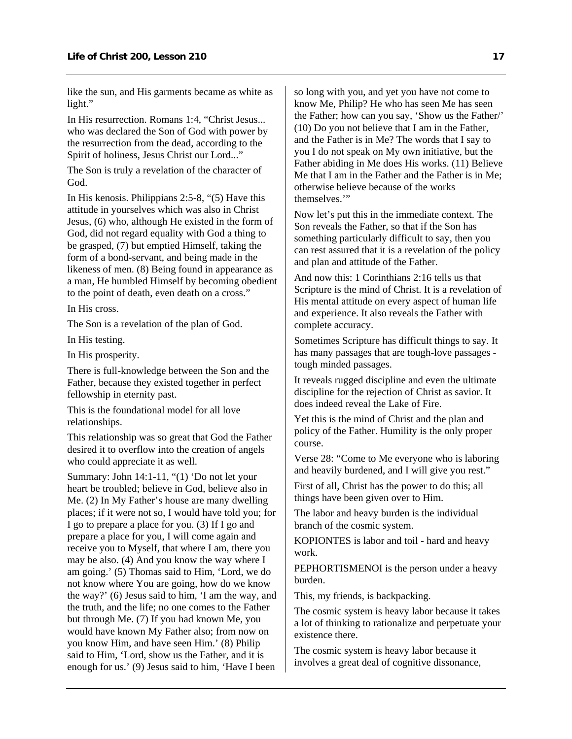like the sun, and His garments became as white as light."

In His resurrection. Romans 1:4, "Christ Jesus... who was declared the Son of God with power by the resurrection from the dead, according to the Spirit of holiness, Jesus Christ our Lord..."

The Son is truly a revelation of the character of God.

In His kenosis. Philippians 2:5-8, "(5) Have this attitude in yourselves which was also in Christ Jesus, (6) who, although He existed in the form of God, did not regard equality with God a thing to be grasped, (7) but emptied Himself, taking the form of a bond-servant, and being made in the likeness of men. (8) Being found in appearance as a man, He humbled Himself by becoming obedient to the point of death, even death on a cross."

In His cross.

The Son is a revelation of the plan of God.

In His testing.

In His prosperity.

There is full-knowledge between the Son and the Father, because they existed together in perfect fellowship in eternity past.

This is the foundational model for all love relationships.

This relationship was so great that God the Father desired it to overflow into the creation of angels who could appreciate it as well.

Summary: John 14:1-11, "(1) 'Do not let your heart be troubled; believe in God, believe also in Me. (2) In My Father's house are many dwelling places; if it were not so, I would have told you; for I go to prepare a place for you. (3) If I go and prepare a place for you, I will come again and receive you to Myself, that where I am, there you may be also. (4) And you know the way where I am going.' (5) Thomas said to Him, 'Lord, we do not know where You are going, how do we know the way?' (6) Jesus said to him, 'I am the way, and the truth, and the life; no one comes to the Father but through Me. (7) If you had known Me, you would have known My Father also; from now on you know Him, and have seen Him.' (8) Philip said to Him, 'Lord, show us the Father, and it is enough for us.' (9) Jesus said to him, 'Have I been

so long with you, and yet you have not come to know Me, Philip? He who has seen Me has seen the Father; how can you say, 'Show us the Father/' (10) Do you not believe that I am in the Father, and the Father is in Me? The words that I say to you I do not speak on My own initiative, but the Father abiding in Me does His works. (11) Believe Me that I am in the Father and the Father is in Me; otherwise believe because of the works themselves."

Now let's put this in the immediate context. The Son reveals the Father, so that if the Son has something particularly difficult to say, then you can rest assured that it is a revelation of the policy and plan and attitude of the Father.

And now this: 1 Corinthians 2:16 tells us that Scripture is the mind of Christ. It is a revelation of His mental attitude on every aspect of human life and experience. It also reveals the Father with complete accuracy.

Sometimes Scripture has difficult things to say. It has many passages that are tough-love passages tough minded passages.

It reveals rugged discipline and even the ultimate discipline for the rejection of Christ as savior. It does indeed reveal the Lake of Fire.

Yet this is the mind of Christ and the plan and policy of the Father. Humility is the only proper course.

Verse 28: "Come to Me everyone who is laboring and heavily burdened, and I will give you rest."

First of all, Christ has the power to do this; all things have been given over to Him.

The labor and heavy burden is the individual branch of the cosmic system.

KOPIONTES is labor and toil - hard and heavy work.

PEPHORTISMENOI is the person under a heavy burden.

This, my friends, is backpacking.

The cosmic system is heavy labor because it takes a lot of thinking to rationalize and perpetuate your existence there.

The cosmic system is heavy labor because it involves a great deal of cognitive dissonance,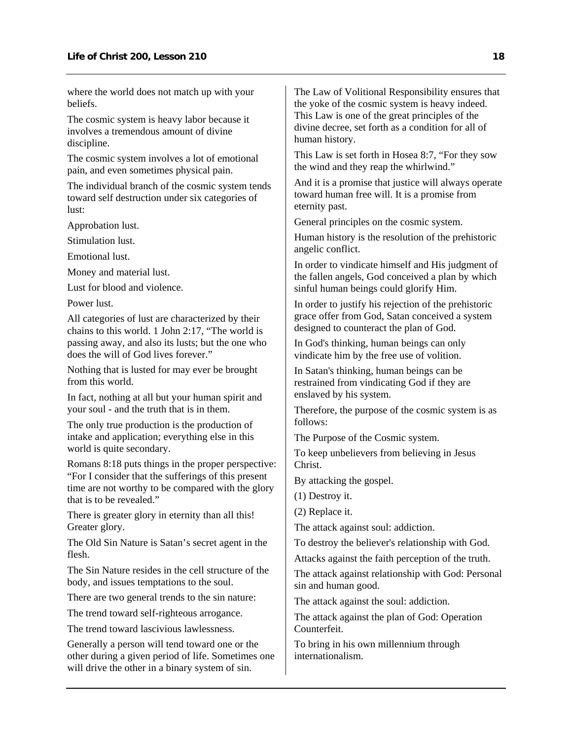where the world does not match up with your beliefs.

The cosmic system is heavy labor because it involves a tremendous amount of divine discipline.

The cosmic system involves a lot of emotional pain, and even sometimes physical pain.

The individual branch of the cosmic system tends toward self destruction under six categories of lust:

Approbation lust.

Stimulation lust.

Emotional lust.

Money and material lust.

Lust for blood and violence.

Power lust.

All categories of lust are characterized by their chains to this world. 1 John 2:17, "The world is passing away, and also its lusts; but the one who does the will of God lives forever."

Nothing that is lusted for may ever be brought from this world.

In fact, nothing at all but your human spirit and your soul - and the truth that is in them.

The only true production is the production of intake and application; everything else in this world is quite secondary.

Romans 8:18 puts things in the proper perspective: "For I consider that the sufferings of this present time are not worthy to be compared with the glory that is to be revealed."

There is greater glory in eternity than all this! Greater glory.

The Old Sin Nature is Satan's secret agent in the flesh.

The Sin Nature resides in the cell structure of the body, and issues temptations to the soul.

There are two general trends to the sin nature:

The trend toward self-righteous arrogance.

The trend toward lascivious lawlessness.

Generally a person will tend toward one or the other during a given period of life. Sometimes one will drive the other in a binary system of sin.

The Law of Volitional Responsibility ensures that the yoke of the cosmic system is heavy indeed. This Law is one of the great principles of the divine decree, set forth as a condition for all of human history.

This Law is set forth in Hosea 8:7, "For they sow the wind and they reap the whirlwind."

And it is a promise that justice will always operate toward human free will. It is a promise from eternity past.

General principles on the cosmic system.

Human history is the resolution of the prehistoric angelic conflict.

In order to vindicate himself and His judgment of the fallen angels, God conceived a plan by which sinful human beings could glorify Him.

In order to justify his rejection of the prehistoric grace offer from God, Satan conceived a system designed to counteract the plan of God.

In God's thinking, human beings can only vindicate him by the free use of volition.

In Satan's thinking, human beings can be restrained from vindicating God if they are enslaved by his system.

Therefore, the purpose of the cosmic system is as follows:

The Purpose of the Cosmic system.

To keep unbelievers from believing in Jesus Christ.

By attacking the gospel.

(1) Destroy it.

(2) Replace it.

The attack against soul: addiction.

To destroy the believer's relationship with God.

Attacks against the faith perception of the truth.

The attack against relationship with God: Personal sin and human good.

The attack against the soul: addiction.

The attack against the plan of God: Operation **Counterfeit** 

To bring in his own millennium through internationalism.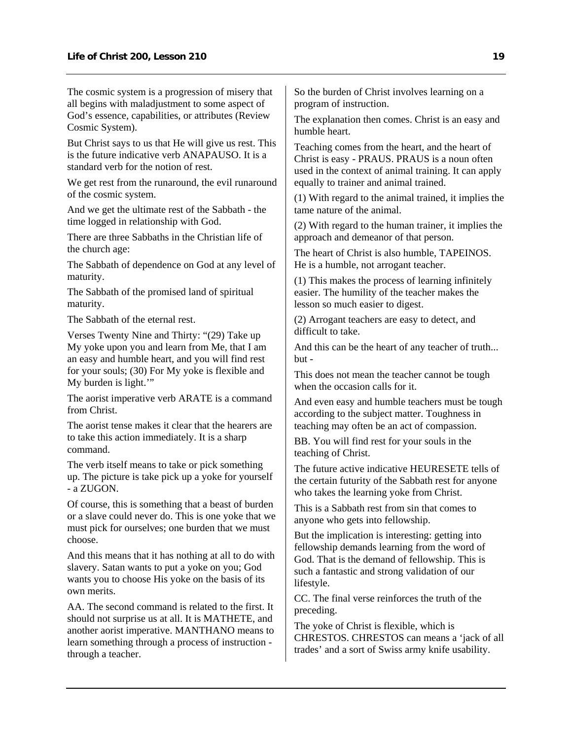The cosmic system is a progression of misery that all begins with maladjustment to some aspect of God's essence, capabilities, or attributes (Review Cosmic System).

But Christ says to us that He will give us rest. This is the future indicative verb ANAPAUSO. It is a standard verb for the notion of rest.

We get rest from the runaround, the evil runaround of the cosmic system.

And we get the ultimate rest of the Sabbath - the time logged in relationship with God.

There are three Sabbaths in the Christian life of the church age:

The Sabbath of dependence on God at any level of maturity.

The Sabbath of the promised land of spiritual maturity.

The Sabbath of the eternal rest.

Verses Twenty Nine and Thirty: "(29) Take up My yoke upon you and learn from Me, that I am an easy and humble heart, and you will find rest for your souls; (30) For My yoke is flexible and My burden is light.'"

The aorist imperative verb ARATE is a command from Christ.

The aorist tense makes it clear that the hearers are to take this action immediately. It is a sharp command.

The verb itself means to take or pick something up. The picture is take pick up a yoke for yourself - a ZUGON.

Of course, this is something that a beast of burden or a slave could never do. This is one yoke that we must pick for ourselves; one burden that we must choose.

And this means that it has nothing at all to do with slavery. Satan wants to put a yoke on you; God wants you to choose His yoke on the basis of its own merits.

AA. The second command is related to the first. It should not surprise us at all. It is MATHETE, and another aorist imperative. MANTHANO means to learn something through a process of instruction through a teacher.

So the burden of Christ involves learning on a program of instruction.

The explanation then comes. Christ is an easy and humble heart.

Teaching comes from the heart, and the heart of Christ is easy - PRAUS. PRAUS is a noun often used in the context of animal training. It can apply equally to trainer and animal trained.

(1) With regard to the animal trained, it implies the tame nature of the animal.

(2) With regard to the human trainer, it implies the approach and demeanor of that person.

The heart of Christ is also humble, TAPEINOS. He is a humble, not arrogant teacher.

(1) This makes the process of learning infinitely easier. The humility of the teacher makes the lesson so much easier to digest.

(2) Arrogant teachers are easy to detect, and difficult to take.

And this can be the heart of any teacher of truth... but -

This does not mean the teacher cannot be tough when the occasion calls for it.

And even easy and humble teachers must be tough according to the subject matter. Toughness in teaching may often be an act of compassion.

BB. You will find rest for your souls in the teaching of Christ.

The future active indicative HEURESETE tells of the certain futurity of the Sabbath rest for anyone who takes the learning yoke from Christ.

This is a Sabbath rest from sin that comes to anyone who gets into fellowship.

But the implication is interesting: getting into fellowship demands learning from the word of God. That is the demand of fellowship. This is such a fantastic and strong validation of our lifestyle.

CC. The final verse reinforces the truth of the preceding.

The yoke of Christ is flexible, which is CHRESTOS. CHRESTOS can means a 'jack of all trades' and a sort of Swiss army knife usability.